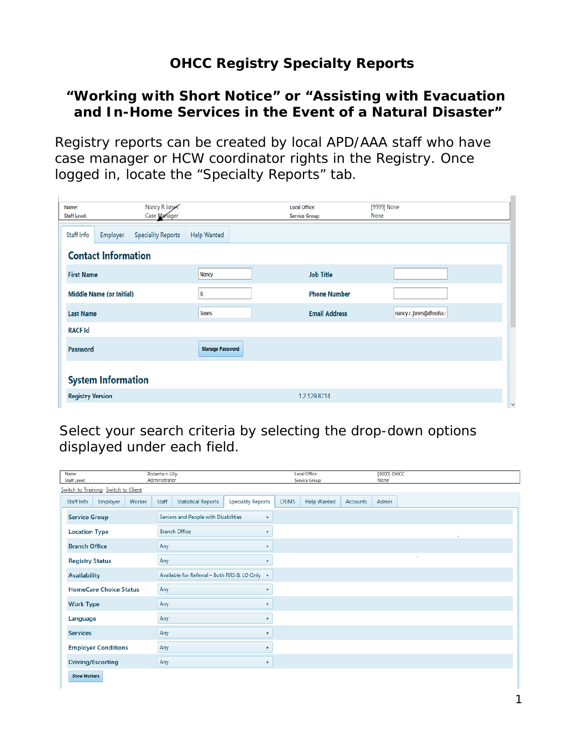## **OHCC Registry Specialty Reports**

## **"Working with Short Notice" or "Assisting with Evacuation and In-Home Services in the Event of a Natural Disaster"**

Registry reports can be created by local APD/AAA staff who have case manager or HCW coordinator rights in the Registry. Once logged in, locate the "Specialty Reports" tab.

| Name:<br><b>Staff Level:</b>    |                         | Nancy R Janes<br>Case Manager |                    | <b>Local Office:</b><br>Service Group: | [9999] None<br>None    |        |  |  |  |  |
|---------------------------------|-------------------------|-------------------------------|--------------------|----------------------------------------|------------------------|--------|--|--|--|--|
| Staff Info                      | Employer                | <b>Speciality Reports</b>     | <b>Help Wanted</b> |                                        |                        |        |  |  |  |  |
| <b>Contact Information</b>      |                         |                               |                    |                                        |                        |        |  |  |  |  |
| <b>First Name</b>               |                         |                               | <b>Nancy</b>       | <b>Job Title</b>                       |                        |        |  |  |  |  |
| <b>Middle Name (or Initial)</b> |                         |                               | R                  | <b>Phone Number</b>                    |                        |        |  |  |  |  |
|                                 | <b>Last Name</b>        |                               |                    | <b>Email Address</b>                   | nancy.r.janes@dhsoha.s |        |  |  |  |  |
| <b>RACF Id</b>                  |                         |                               |                    |                                        |                        |        |  |  |  |  |
| Password                        |                         |                               |                    | <b>Manage Password</b>                 |                        |        |  |  |  |  |
| <b>System Information</b>       |                         |                               |                    |                                        |                        |        |  |  |  |  |
|                                 | <b>Registry Version</b> |                               |                    | 1.2.129.8714                           |                        | $\vee$ |  |  |  |  |

Select your search criteria by selecting the drop-down options displayed under each field.

| Name:<br>Staff Level:               | Roberta n Lilly<br>Administrator |        |                            |                                                      |                           | Local Office:<br>Service Group: |                    |          | [0000] OHCC<br>None |        |  |  |
|-------------------------------------|----------------------------------|--------|----------------------------|------------------------------------------------------|---------------------------|---------------------------------|--------------------|----------|---------------------|--------|--|--|
| Switch to Training Switch to Client |                                  |        |                            |                                                      |                           |                                 |                    |          |                     |        |  |  |
| Staff Info                          | Employer                         | Worker | Staff                      | <b>Statistical Reports</b>                           | <b>Speciality Reports</b> | <b>CRIMS</b>                    | <b>Help Wanted</b> | Accounts | Admin               |        |  |  |
| <b>Service Group</b>                |                                  |        |                            | Seniors and People with Disabilities<br>$\mathbf{v}$ |                           |                                 |                    |          |                     |        |  |  |
| <b>Location Type</b>                |                                  |        | <b>Branch Office</b><br>۰. |                                                      |                           |                                 |                    |          |                     | ٠      |  |  |
| <b>Branch Office</b>                |                                  |        | Any                        |                                                      | $\overline{\mathbf{v}}$   |                                 |                    |          |                     |        |  |  |
|                                     | <b>Registry Status</b>           |        | Any                        | ۰                                                    |                           |                                 |                    |          |                     | $\sim$ |  |  |
| <b>Availability</b>                 |                                  |        |                            | Available for Referral - Both RRS & LO Only v        |                           |                                 |                    |          |                     |        |  |  |
| <b>HomeCare Choice Status</b>       |                                  |        | Any                        | ۰                                                    |                           |                                 |                    |          |                     |        |  |  |
|                                     | <b>Work Type</b>                 |        |                            | Any<br>$\boldsymbol{\mathrm{v}}$                     |                           |                                 |                    |          |                     |        |  |  |
| Language                            |                                  |        | Any                        |                                                      |                           |                                 |                    |          |                     |        |  |  |
| <b>Services</b>                     |                                  |        | Any                        | $\mathbf{v}$                                         |                           |                                 |                    |          |                     |        |  |  |
| <b>Employer Conditions</b>          |                                  | Any    | ۰                          |                                                      |                           |                                 |                    |          |                     |        |  |  |
|                                     | <b>Driving/Escorting</b>         |        |                            |                                                      | $\mathbf{v}$              |                                 |                    |          |                     |        |  |  |
| <b>Show Workers</b>                 |                                  |        |                            |                                                      |                           |                                 |                    |          |                     |        |  |  |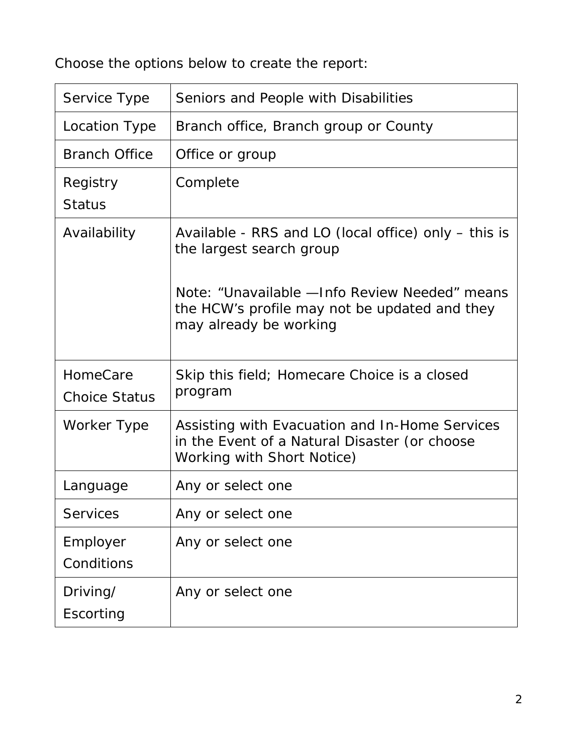Choose the options below to create the report:

| Service Type                     | Seniors and People with Disabilities                                                                                          |
|----------------------------------|-------------------------------------------------------------------------------------------------------------------------------|
| Location Type                    | Branch office, Branch group or County                                                                                         |
| <b>Branch Office</b>             | Office or group                                                                                                               |
| Registry<br><b>Status</b>        | Complete                                                                                                                      |
| Availability                     | Available - RRS and LO (local office) only – this is<br>the largest search group                                              |
|                                  | Note: "Unavailable - Info Review Needed" means<br>the HCW's profile may not be updated and they<br>may already be working     |
| HomeCare<br><b>Choice Status</b> | Skip this field; Homecare Choice is a closed<br>program                                                                       |
| Worker Type                      | Assisting with Evacuation and In-Home Services<br>in the Event of a Natural Disaster (or choose<br>Working with Short Notice) |
| Language                         | Any or select one                                                                                                             |
| <b>Services</b>                  | Any or select one                                                                                                             |
| Employer<br>Conditions           | Any or select one                                                                                                             |
| Driving/<br>Escorting            | Any or select one                                                                                                             |